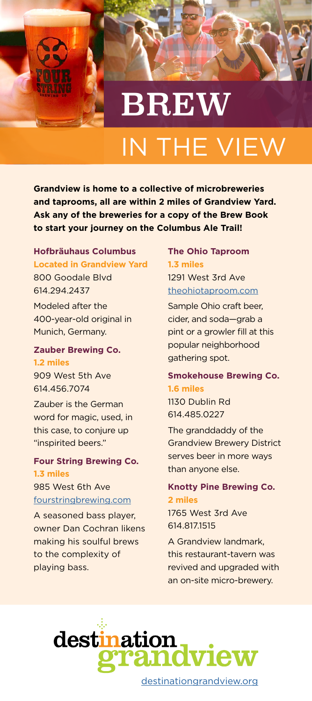

# BREW IN THE VIEW

**Grandview is home to a collective of microbreweries and taprooms, all are within 2 miles of Grandview Yard. Ask any of the breweries for a copy of the Brew Book to start your journey on the Columbus Ale Trail!**

#### **Hofbräuhaus Columbus Located in Grandview Yard**

800 Goodale Blvd 614.294.2437 Modeled after the 400-year-old original in Munich, Germany.

#### **Zauber Brewing Co.**

**1.2 miles** 909 West 5th Ave 614.456.7074

Zauber is the German word for magic, used, in this case, to conjure up "inspirited beers."

#### **Four String Brewing Co. 1.3 miles**

985 West 6th Ave [fourstringbrewing.com](http://fourstringbrewing.com)

A seasoned bass player, owner Dan Cochran likens making his soulful brews to the complexity of playing bass.

#### **The Ohio Taproom 1.3 miles**

1291 West 3rd Ave [theohiotaproom.com](http://theohiotaproom.com)

Sample Ohio craft beer, cider, and soda—grab a pint or a growler fill at this popular neighborhood gathering spot.

#### **Smokehouse Brewing Co. 1.6 miles**

1130 Dublin Rd 614.485.0227

The granddaddy of the Grandview Brewery District serves beer in more ways than anyone else.

#### **Knotty Pine Brewing Co. 2 miles**

1765 West 3rd Ave 614.817.1515

A Grandview landmark, this restaurant-tavern was revived and upgraded with an on-site micro-brewery.